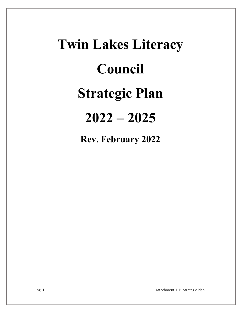# **Twin Lakes Literacy Council Strategic Plan 2022 – 2025**

**Rev. February 2022**

pg. 1 **Attachment 1.1: Strategic Plan**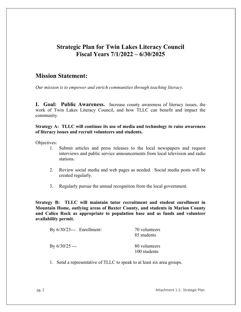## **Strategic Plan for Twin Lakes Literacy Council Fiscal Years 7/1/2022 – 6/30/2025**

### **Mission Statement:**

*Our mission is to empower and enrich communities through teaching literacy.*

**I. Goal: Public Awareness.** Increase county awareness of literacy issues, the work of Twin Lakes Literacy Council, and how TLLC can benefit and impact the community.

**Strategy A: TLLC will continue its use of media and technology to raise awareness of literacy issues and recruit volunteers and students.**

Objectives:

- 1. Submit articles and press releases to the local newspapers and request interviews and public service announcements from local television and radio stations.
- 2. Review social media and web pages as needed. Social media posts will be created regularly.
- 3. Regularly pursue the annual recognition from the local government.

**Strategy B: TLLC will maintain tutor recruitment and student enrollment in Mountain Home, outlying areas of Baxter County, and students in Marion County and Calico Rock as appropriate to population base and as funds and volunteer availability permit.**

| By $6/30/23$ --- Enrollment: | 70 volunteers                 |
|------------------------------|-------------------------------|
|                              | 85 students                   |
| By $6/30/25$ ---             | 80 volunteers<br>100 students |
|                              |                               |

1. Send a representative of TLLC to speak to at least six area groups.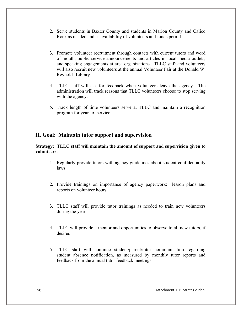- 2. Serve students in Baxter County and students in Marion County and Calico Rock as needed and as availability of volunteers and funds permit.
- 3. Promote volunteer recruitment through contacts with current tutors and word of mouth, public service announcements and articles in local media outlets, and speaking engagements at area organizations. TLLC staff and volunteers will also recruit new volunteers at the annual Volunteer Fair at the Donald W. Reynolds Library.
- 4. TLLC staff will ask for feedback when volunteers leave the agency. The administration will track reasons that TLLC volunteers choose to stop serving with the agency.
- 5. Track length of time volunteers serve at TLLC and maintain a recognition program for years of service.

#### **II. Goal: Maintain tutor support and supervision**

#### **Strategy: TLLC staff will maintain the amount of support and supervision given to volunteers.**

- 1. Regularly provide tutors with agency guidelines about student confidentiality laws.
- 2. Provide trainings on importance of agency paperwork: lesson plans and reports on volunteer hours.
- 3. TLLC staff will provide tutor trainings as needed to train new volunteers during the year.
- 4. TLLC will provide a mentor and opportunities to observe to all new tutors, if desired.
- 5. TLLC staff will continue student/parent/tutor communication regarding student absence notification, as measured by monthly tutor reports and feedback from the annual tutor feedback meetings.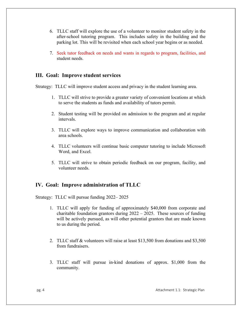- 6. TLLC staff will explore the use of a volunteer to monitor student safety in the after-school tutoring program. This includes safety in the building and the parking lot. This will be revisited when each school year begins or as needed.
- 7. Seek tutor feedback on needs and wants in regards to program, facilities, and student needs.

#### **III. Goal: Improve student services**

Strategy: TLLC will improve student access and privacy in the student learning area.

- 1. TLLC will strive to provide a greater variety of convenient locations at which to serve the students as funds and availability of tutors permit.
- 2. Student testing will be provided on admission to the program and at regular intervals.
- 3. TLLC will explore ways to improve communication and collaboration with area schools.
- 4. TLLC volunteers will continue basic computer tutoring to include Microsoft Word, and Excel.
- 5. TLLC will strive to obtain periodic feedback on our program, facility, and volunteer needs.

#### **IV. Goal: Improve administration of TLLC**

Strategy: TLLC will pursue funding 2022– 2025

- 1. TLLC will apply for funding of approximately \$40,000 from corporate and charitable foundation grantors during 2022 – 2025. These sources of funding will be actively pursued, as will other potential grantors that are made known to us during the period.
- 2. TLLC staff & volunteers will raise at least \$13,500 from donations and \$3,500 from fundraisers.
- 3. TLLC staff will pursue in-kind donations of approx. \$1,000 from the community.